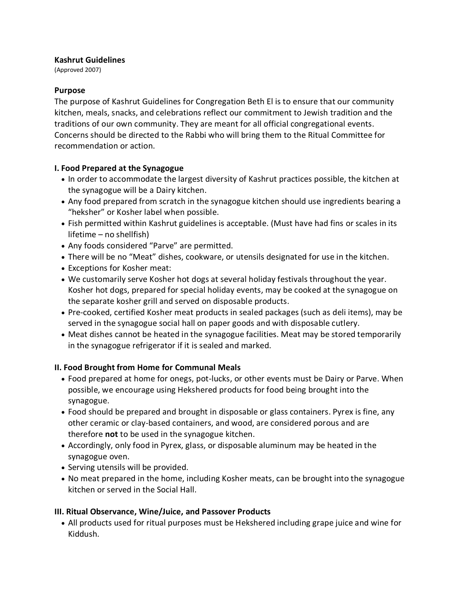#### **Kashrut Guidelines**

(Approved 2007)

### **Purpose**

The purpose of Kashrut Guidelines for Congregation Beth El is to ensure that our community kitchen, meals, snacks, and celebrations reflect our commitment to Jewish tradition and the traditions of our own community. They are meant for all official congregational events. Concerns should be directed to the Rabbi who will bring them to the Ritual Committee for recommendation or action.

# **I. Food Prepared at the Synagogue**

- In order to accommodate the largest diversity of Kashrut practices possible, the kitchen at the synagogue will be a Dairy kitchen.
- Any food prepared from scratch in the synagogue kitchen should use ingredients bearing a "heksher" or Kosher label when possible.
- Fish permitted within Kashrut guidelines is acceptable. (Must have had fins or scales in its lifetime – no shellfish)
- Any foods considered "Parve" are permitted.
- There will be no "Meat" dishes, cookware, or utensils designated for use in the kitchen.
- Exceptions for Kosher meat:
- We customarily serve Kosher hot dogs at several holiday festivals throughout the year. Kosher hot dogs, prepared for special holiday events, may be cooked at the synagogue on the separate kosher grill and served on disposable products.
- Pre-cooked, certified Kosher meat products in sealed packages (such as deli items), may be served in the synagogue social hall on paper goods and with disposable cutlery.
- Meat dishes cannot be heated in the synagogue facilities. Meat may be stored temporarily in the synagogue refrigerator if it is sealed and marked.

# **II. Food Brought from Home for Communal Meals**

- Food prepared at home for onegs, pot-lucks, or other events must be Dairy or Parve. When possible, we encourage using Hekshered products for food being brought into the synagogue.
- Food should be prepared and brought in disposable or glass containers. Pyrex is fine, any other ceramic or clay-based containers, and wood, are considered porous and are therefore **not** to be used in the synagogue kitchen.
- Accordingly, only food in Pyrex, glass, or disposable aluminum may be heated in the synagogue oven.
- Serving utensils will be provided.
- No meat prepared in the home, including Kosher meats, can be brought into the synagogue kitchen or served in the Social Hall.

# **III. Ritual Observance, Wine/Juice, and Passover Products**

 All products used for ritual purposes must be Hekshered including grape juice and wine for Kiddush.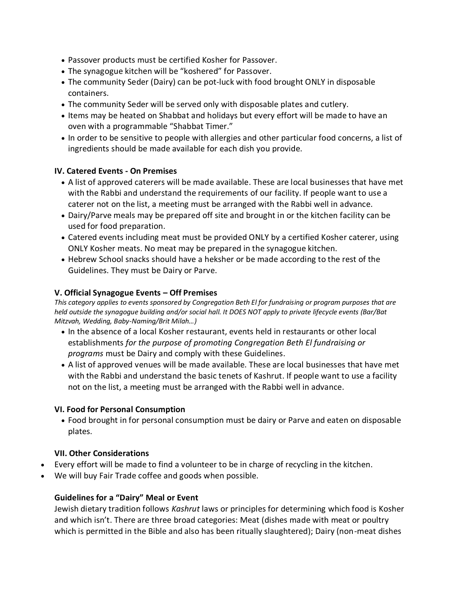- Passover products must be certified Kosher for Passover.
- The synagogue kitchen will be "koshered" for Passover.
- The community Seder (Dairy) can be pot-luck with food brought ONLY in disposable containers.
- The community Seder will be served only with disposable plates and cutlery.
- Items may be heated on Shabbat and holidays but every effort will be made to have an oven with a programmable "Shabbat Timer."
- In order to be sensitive to people with allergies and other particular food concerns, a list of ingredients should be made available for each dish you provide.

# **IV. Catered Events - On Premises**

- A list of approved caterers will be made available. These are local businesses that have met with the Rabbi and understand the requirements of our facility. If people want to use a caterer not on the list, a meeting must be arranged with the Rabbi well in advance.
- Dairy/Parve meals may be prepared off site and brought in or the kitchen facility can be used for food preparation.
- Catered events including meat must be provided ONLY by a certified Kosher caterer, using ONLY Kosher meats. No meat may be prepared in the synagogue kitchen.
- Hebrew School snacks should have a heksher or be made according to the rest of the Guidelines. They must be Dairy or Parve.

### **V. Official Synagogue Events – Off Premises**

This category applies to events sponsored by Congregation Beth El for fundraising or program purposes that are held outside the synagogue building and/or social hall. It DOES NOT apply to private lifecycle events (Bar/Bat *Mitzvah, Wedding, Baby-Naming/Brit Milah…)*

- In the absence of a local Kosher restaurant, events held in restaurants or other local establishments *for the purpose of promoting Congregation Beth El fundraising or programs* must be Dairy and comply with these Guidelines.
- A list of approved venues will be made available. These are local businesses that have met with the Rabbi and understand the basic tenets of Kashrut. If people want to use a facility not on the list, a meeting must be arranged with the Rabbi well in advance.

# **VI. Food for Personal Consumption**

 Food brought in for personal consumption must be dairy or Parve and eaten on disposable plates.

# **VII. Other Considerations**

- Every effort will be made to find a volunteer to be in charge of recycling in the kitchen.
- We will buy Fair Trade coffee and goods when possible.

# **Guidelines for a "Dairy" Meal or Event**

Jewish dietary tradition follows *Kashrut* laws or principles for determining which food is Kosher and which isn't. There are three broad categories: Meat (dishes made with meat or poultry which is permitted in the Bible and also has been ritually slaughtered); Dairy (non-meat dishes